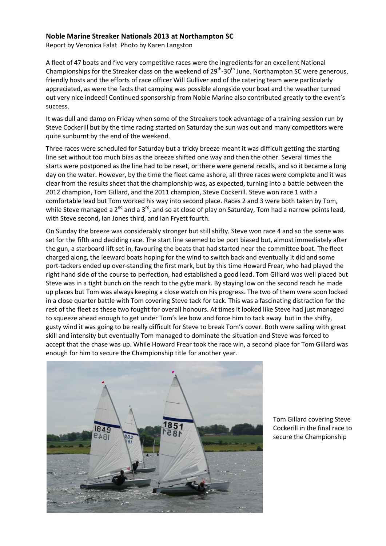## **Noble Marine Streaker Nationals 2013 at Northampton SC**

Report by Veronica Falat Photo by Karen Langston

A fleet of 47 boats and five very competitive races were the ingredients for an excellent National Championships for the Streaker class on the weekend of  $29<sup>th</sup>$ -30<sup>th</sup> June. Northampton SC were generous, friendly hosts and the efforts of race officer Will Gulliver and of the catering team were particularly appreciated, as were the facts that camping was possible alongside your boat and the weather turned out very nice indeed! Continued sponsorship from Noble Marine also contributed greatly to the event's success.

It was dull and damp on Friday when some of the Streakers took advantage of a training session run by Steve Cockerill but by the time racing started on Saturday the sun was out and many competitors were quite sunburnt by the end of the weekend.

Three races were scheduled for Saturday but a tricky breeze meant it was difficult getting the starting line set without too much bias as the breeze shifted one way and then the other. Several times the starts were postponed as the line had to be reset, or there were general recalls, and so it became a long day on the water. However, by the time the fleet came ashore, all three races were complete and it was clear from the results sheet that the championship was, as expected, turning into a battle between the 2012 champion, Tom Gillard, and the 2011 champion, Steve Cockerill. Steve won race 1 with a comfortable lead but Tom worked his way into second place. Races 2 and 3 were both taken by Tom, while Steve managed a  $2^{nd}$  and a  $3^{rd}$ , and so at close of play on Saturday, Tom had a narrow points lead, with Steve second, Ian Jones third, and Ian Fryett fourth.

On Sunday the breeze was considerably stronger but still shifty. Steve won race 4 and so the scene was set for the fifth and deciding race. The start line seemed to be port biased but, almost immediately after the gun, a starboard lift set in, favouring the boats that had started near the committee boat. The fleet charged along, the leeward boats hoping for the wind to switch back and eventually it did and some port-tackers ended up over-standing the first mark, but by this time Howard Frear, who had played the right hand side of the course to perfection, had established a good lead. Tom Gillard was well placed but Steve was in a tight bunch on the reach to the gybe mark. By staying low on the second reach he made up places but Tom was always keeping a close watch on his progress. The two of them were soon locked in a close quarter battle with Tom covering Steve tack for tack. This was a fascinating distraction for the rest of the fleet as these two fought for overall honours. At times it looked like Steve had just managed to squeeze ahead enough to get under Tom's lee bow and force him to tack away but in the shifty, gusty wind it was going to be really difficult for Steve to break Tom's cover. Both were sailing with great skill and intensity but eventually Tom managed to dominate the situation and Steve was forced to accept that the chase was up. While Howard Frear took the race win, a second place for Tom Gillard was enough for him to secure the Championship title for another year.



Tom Gillard covering Steve Cockerill in the final race to secure the Championship